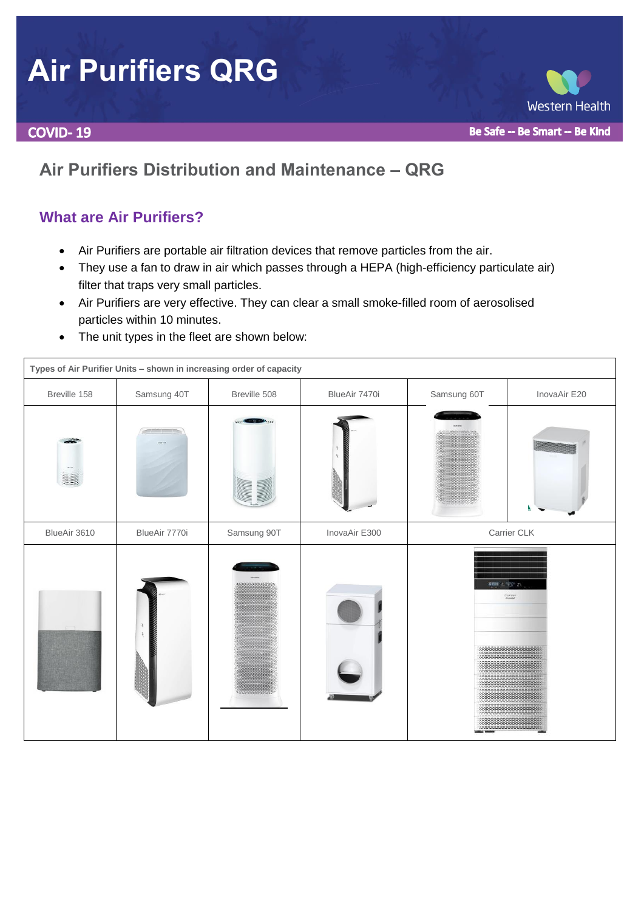# **Air Purifiers QRG**

**COVID-19** 

# **Air Purifiers Distribution and Maintenance – QRG**

## **What are Air Purifiers?**

- Air Purifiers are portable air filtration devices that remove particles from the air.
- They use a fan to draw in air which passes through a HEPA (high-efficiency particulate air) filter that traps very small particles.
- Air Purifiers are very effective. They can clear a small smoke-filled room of aerosolised particles within 10 minutes.
- The unit types in the fleet are shown below:

| Types of Air Purifier Units - shown in increasing order of capacity |               |              |               |                                               |              |
|---------------------------------------------------------------------|---------------|--------------|---------------|-----------------------------------------------|--------------|
| Breville 158                                                        | Samsung 40T   | Breville 508 | BlueAir 7470i | Samsung 60T                                   | InovaAir E20 |
|                                                                     |               |              |               |                                               |              |
| BlueAir 3610                                                        | BlueAir 7770i | Samsung 90T  | InovaAir E300 | Carrier CLK                                   |              |
|                                                                     |               |              |               | WHAT 上 実定 21.<br>Greier<br>,,,,,,,,,,,,,,,,,, |              |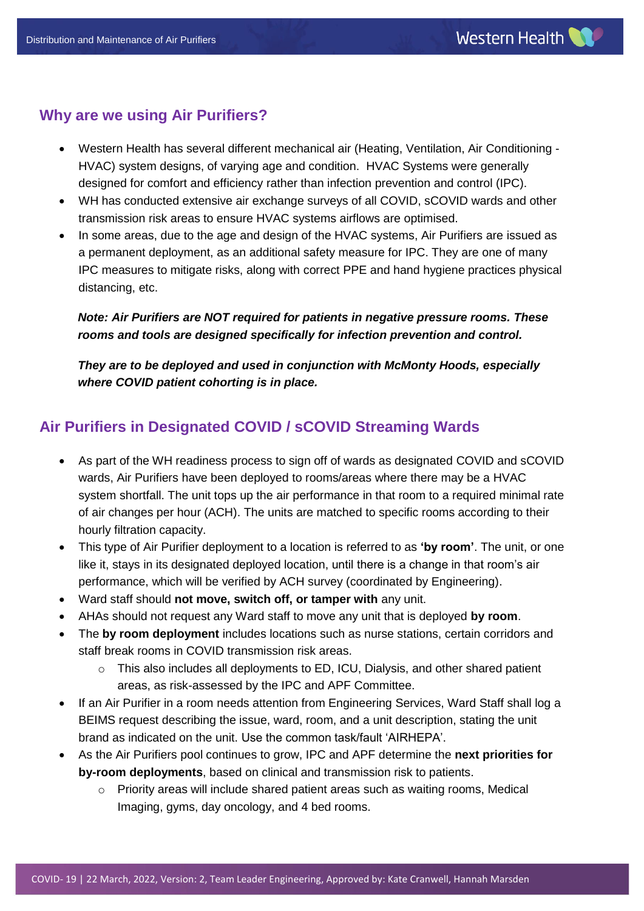## **Why are we using Air Purifiers?**

- Western Health has several different mechanical air (Heating, Ventilation, Air Conditioning HVAC) system designs, of varying age and condition. HVAC Systems were generally designed for comfort and efficiency rather than infection prevention and control (IPC).
- WH has conducted extensive air exchange surveys of all COVID, sCOVID wards and other transmission risk areas to ensure HVAC systems airflows are optimised.
- In some areas, due to the age and design of the HVAC systems, Air Purifiers are issued as a permanent deployment, as an additional safety measure for IPC. They are one of many IPC measures to mitigate risks, along with correct PPE and hand hygiene practices physical distancing, etc.

#### *Note: Air Purifiers are NOT required for patients in negative pressure rooms. These rooms and tools are designed specifically for infection prevention and control.*

*They are to be deployed and used in conjunction with McMonty Hoods, especially where COVID patient cohorting is in place.*

## **Air Purifiers in Designated COVID / sCOVID Streaming Wards**

- As part of the WH readiness process to sign off of wards as designated COVID and sCOVID wards, Air Purifiers have been deployed to rooms/areas where there may be a HVAC system shortfall. The unit tops up the air performance in that room to a required minimal rate of air changes per hour (ACH). The units are matched to specific rooms according to their hourly filtration capacity.
- This type of Air Purifier deployment to a location is referred to as **'by room'**. The unit, or one like it, stays in its designated deployed location, until there is a change in that room's air performance, which will be verified by ACH survey (coordinated by Engineering).
- Ward staff should **not move, switch off, or tamper with** any unit.
- AHAs should not request any Ward staff to move any unit that is deployed **by room**.
- The **by room deployment** includes locations such as nurse stations, certain corridors and staff break rooms in COVID transmission risk areas.
	- o This also includes all deployments to ED, ICU, Dialysis, and other shared patient areas, as risk-assessed by the IPC and APF Committee.
- If an Air Purifier in a room needs attention from Engineering Services, Ward Staff shall log a BEIMS request describing the issue, ward, room, and a unit description, stating the unit brand as indicated on the unit. Use the common task/fault 'AIRHEPA'.
- As the Air Purifiers pool continues to grow, IPC and APF determine the **next priorities for by-room deployments**, based on clinical and transmission risk to patients.
	- $\circ$  Priority areas will include shared patient areas such as waiting rooms. Medical Imaging, gyms, day oncology, and 4 bed rooms.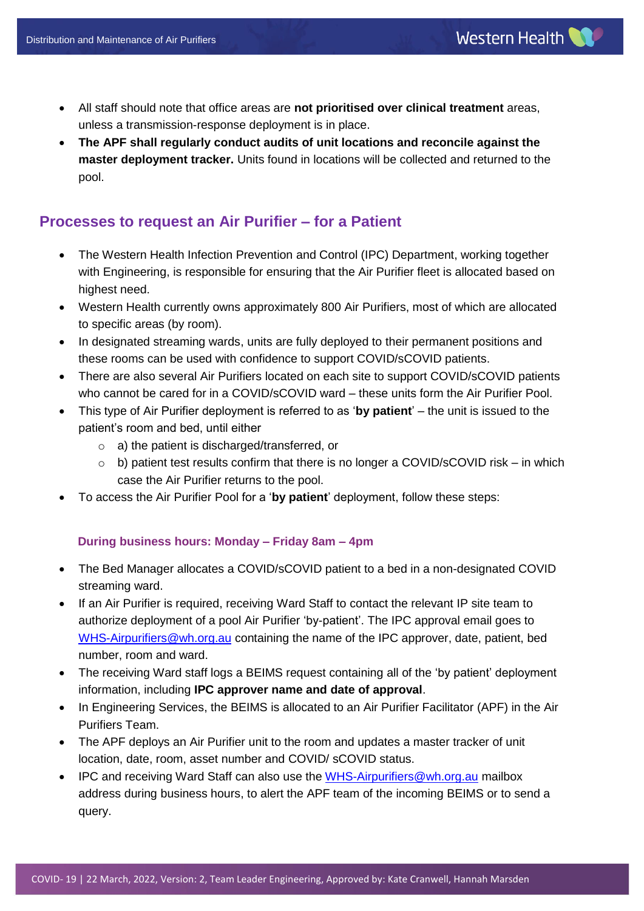Western Health

 **The APF shall regularly conduct audits of unit locations and reconcile against the master deployment tracker.** Units found in locations will be collected and returned to the pool.

## **Processes to request an Air Purifier – for a Patient**

- The Western Health Infection Prevention and Control (IPC) Department, working together with Engineering, is responsible for ensuring that the Air Purifier fleet is allocated based on highest need.
- Western Health currently owns approximately 800 Air Purifiers, most of which are allocated to specific areas (by room).
- In designated streaming wards, units are fully deployed to their permanent positions and these rooms can be used with confidence to support COVID/sCOVID patients.
- There are also several Air Purifiers located on each site to support COVID/sCOVID patients who cannot be cared for in a COVID/sCOVID ward – these units form the Air Purifier Pool.
- This type of Air Purifier deployment is referred to as '**by patient**' the unit is issued to the patient's room and bed, until either
	- o a) the patient is discharged/transferred, or
	- $\circ$  b) patient test results confirm that there is no longer a COVID/sCOVID risk in which case the Air Purifier returns to the pool.
- To access the Air Purifier Pool for a '**by patient**' deployment, follow these steps:

#### **During business hours: Monday – Friday 8am – 4pm**

- The Bed Manager allocates a COVID/sCOVID patient to a bed in a non-designated COVID streaming ward.
- If an Air Purifier is required, receiving Ward Staff to contact the relevant IP site team to authorize deployment of a pool Air Purifier 'by-patient'. The IPC approval email goes to [WHS-Airpurifiers@wh.org.au](mailto:WHS-Airpurifiers@wh.org.au) containing the name of the IPC approver, date, patient, bed number, room and ward.
- The receiving Ward staff logs a BEIMS request containing all of the 'by patient' deployment information, including **IPC approver name and date of approval**.
- In Engineering Services, the BEIMS is allocated to an Air Purifier Facilitator (APF) in the Air Purifiers Team.
- The APF deploys an Air Purifier unit to the room and updates a master tracker of unit location, date, room, asset number and COVID/ sCOVID status.
- IPC and receiving Ward Staff can also use the [WHS-Airpurifiers@wh.org.au](mailto:WHS-Airpurifiers@wh.org.au) mailbox address during business hours, to alert the APF team of the incoming BEIMS or to send a query.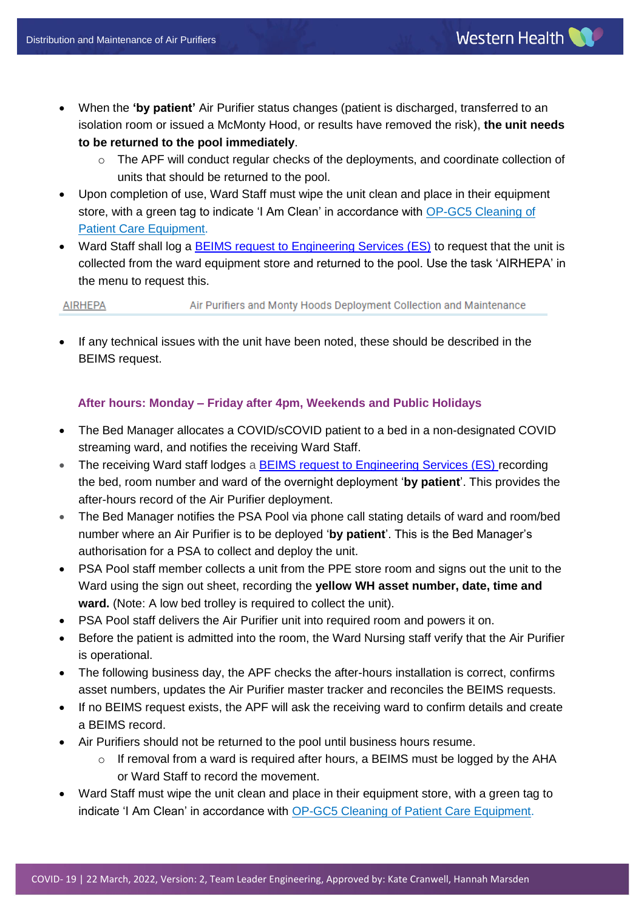- When the **'by patient'** Air Purifier status changes (patient is discharged, transferred to an isolation room or issued a McMonty Hood, or results have removed the risk), **the unit needs to be returned to the pool immediately**.
	- o The APF will conduct regular checks of the deployments, and coordinate collection of units that should be returned to the pool.
- Upon completion of use, Ward Staff must wipe the unit clean and place in their equipment store, with a green tag to indicate 'I Am Clean' in accordance with [OP-GC5 Cleaning of](http://inside.wh.org.au/policies-procedures-forms/WHDocuments/Cleaning%20of%20Patient%20Care%20Equipment.doc)  [Patient Care Equipment.](http://inside.wh.org.au/policies-procedures-forms/WHDocuments/Cleaning%20of%20Patient%20Care%20Equipment.doc)
- Ward Staff shall log a [BEIMS request to Engineering Services \(ES\)](http://beims.wh.org.au/beimsweb2/Default.asp?username=MARSDEH&from=login.asp) to request that the unit is collected from the ward equipment store and returned to the pool. Use the task 'AIRHEPA' in the menu to request this.

Air Purifiers and Monty Hoods Deployment Collection and Maintenance **AIRHEPA** 

 If any technical issues with the unit have been noted, these should be described in the BEIMS request.

#### **After hours: Monday – Friday after 4pm, Weekends and Public Holidays**

- The Bed Manager allocates a COVID/sCOVID patient to a bed in a non-designated COVID streaming ward, and notifies the receiving Ward Staff.
- The receiving Ward staff lodges a **BEIMS request to Engineering Services (ES)** recording the bed, room number and ward of the overnight deployment '**by patient**'. This provides the after-hours record of the Air Purifier deployment.
- The Bed Manager notifies the PSA Pool via phone call stating details of ward and room/bed number where an Air Purifier is to be deployed '**by patient**'. This is the Bed Manager's authorisation for a PSA to collect and deploy the unit.
- PSA Pool staff member collects a unit from the PPE store room and signs out the unit to the Ward using the sign out sheet, recording the **yellow WH asset number, date, time and ward.** (Note: A low bed trolley is required to collect the unit).
- PSA Pool staff delivers the Air Purifier unit into required room and powers it on.
- Before the patient is admitted into the room, the Ward Nursing staff verify that the Air Purifier is operational.
- The following business day, the APF checks the after-hours installation is correct, confirms asset numbers, updates the Air Purifier master tracker and reconciles the BEIMS requests.
- If no BEIMS request exists, the APF will ask the receiving ward to confirm details and create a BEIMS record.
- Air Purifiers should not be returned to the pool until business hours resume.
	- $\circ$  If removal from a ward is required after hours, a BEIMS must be logged by the AHA or Ward Staff to record the movement.
- Ward Staff must wipe the unit clean and place in their equipment store, with a green tag to indicate 'I Am Clean' in accordance with [OP-GC5 Cleaning of Patient Care Equipment.](http://inside.wh.org.au/policies-procedures-forms/WHDocuments/Cleaning%20of%20Patient%20Care%20Equipment.doc)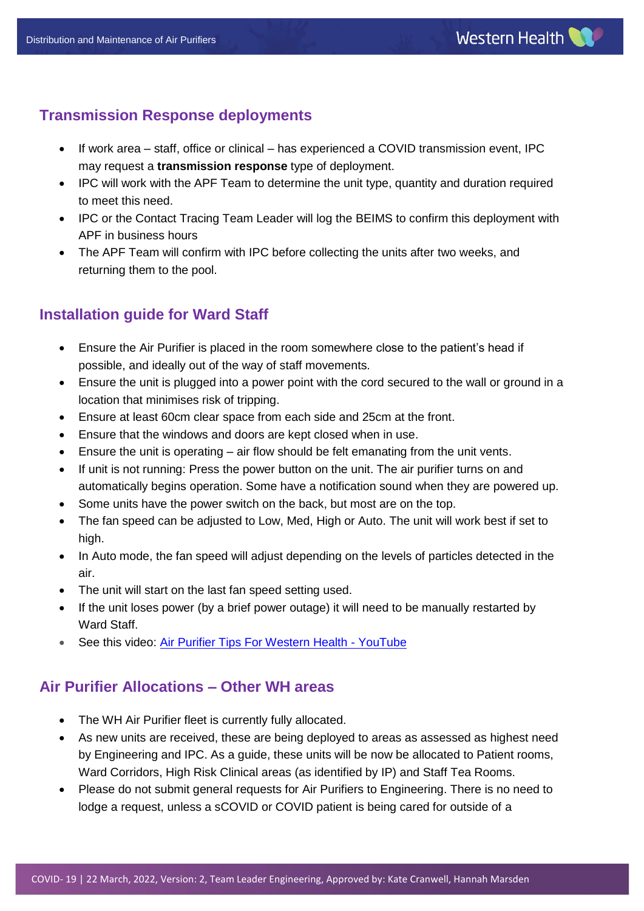## **Transmission Response deployments**

- If work area staff, office or clinical has experienced a COVID transmission event, IPC may request a **transmission response** type of deployment.
- IPC will work with the APF Team to determine the unit type, quantity and duration required to meet this need.
- IPC or the Contact Tracing Team Leader will log the BEIMS to confirm this deployment with APF in business hours
- The APF Team will confirm with IPC before collecting the units after two weeks, and returning them to the pool.

# **Installation guide for Ward Staff**

- Ensure the Air Purifier is placed in the room somewhere close to the patient's head if possible, and ideally out of the way of staff movements.
- Ensure the unit is plugged into a power point with the cord secured to the wall or ground in a location that minimises risk of tripping.
- Ensure at least 60cm clear space from each side and 25cm at the front.
- Ensure that the windows and doors are kept closed when in use.
- Ensure the unit is operating air flow should be felt emanating from the unit vents.
- If unit is not running: Press the power button on the unit. The air purifier turns on and automatically begins operation. Some have a notification sound when they are powered up.
- Some units have the power switch on the back, but most are on the top.
- The fan speed can be adjusted to Low, Med, High or Auto. The unit will work best if set to high.
- In Auto mode, the fan speed will adjust depending on the levels of particles detected in the air.
- The unit will start on the last fan speed setting used.
- If the unit loses power (by a brief power outage) it will need to be manually restarted by Ward Staff.
- See this video: [Air Purifier Tips For Western Health -](https://www.youtube.com/watch?v=I5lhNAoQxgM) YouTube

## **Air Purifier Allocations – Other WH areas**

- The WH Air Purifier fleet is currently fully allocated.
- As new units are received, these are being deployed to areas as assessed as highest need by Engineering and IPC. As a guide, these units will be now be allocated to Patient rooms, Ward Corridors, High Risk Clinical areas (as identified by IP) and Staff Tea Rooms.
- Please do not submit general requests for Air Purifiers to Engineering. There is no need to lodge a request, unless a sCOVID or COVID patient is being cared for outside of a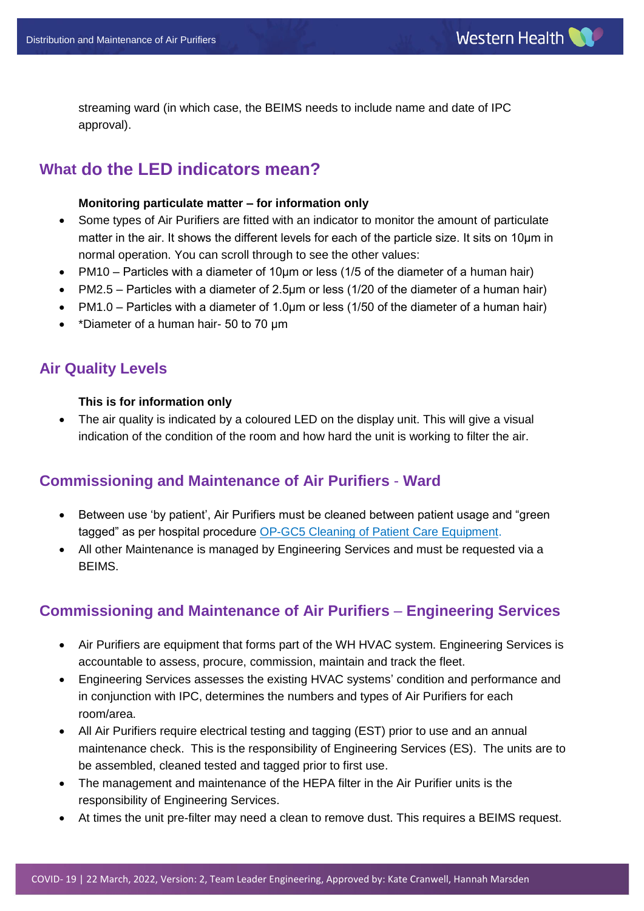streaming ward (in which case, the BEIMS needs to include name and date of IPC approval).

## **What do the LED indicators mean?**

#### **Monitoring particulate matter – for information only**

- Some types of Air Purifiers are fitted with an indicator to monitor the amount of particulate matter in the air. It shows the different levels for each of the particle size. It sits on 10μm in normal operation. You can scroll through to see the other values:
- PM10 Particles with a diameter of 10 $\mu$ m or less (1/5 of the diameter of a human hair)
- PM2.5 Particles with a diameter of 2.5 $\mu$ m or less (1/20 of the diameter of a human hair)
- PM1.0 Particles with a diameter of 1.0μm or less (1/50 of the diameter of a human hair)
- \*Diameter of a human hair- 50 to 70 µm

#### **Air Quality Levels**

#### **This is for information only**

• The air quality is indicated by a coloured LED on the display unit. This will give a visual indication of the condition of the room and how hard the unit is working to filter the air.

#### **Commissioning and Maintenance of Air Purifiers** - **Ward**

- Between use 'by patient', Air Purifiers must be cleaned between patient usage and "green" tagged" as per hospital procedure [OP-GC5 Cleaning of Patient Care Equipment.](http://inside.wh.org.au/policies-procedures-forms/WHDocuments/Cleaning%20of%20Patient%20Care%20Equipment.doc)
- All other Maintenance is managed by Engineering Services and must be requested via a BEIMS.

### **Commissioning and Maintenance of Air Purifiers** – **Engineering Services**

- Air Purifiers are equipment that forms part of the WH HVAC system. Engineering Services is accountable to assess, procure, commission, maintain and track the fleet.
- Engineering Services assesses the existing HVAC systems' condition and performance and in conjunction with IPC, determines the numbers and types of Air Purifiers for each room/area.
- All Air Purifiers require electrical testing and tagging (EST) prior to use and an annual maintenance check. This is the responsibility of Engineering Services (ES). The units are to be assembled, cleaned tested and tagged prior to first use.
- The management and maintenance of the HEPA filter in the Air Purifier units is the responsibility of Engineering Services.
- At times the unit pre-filter may need a clean to remove dust. This requires a BEIMS request.